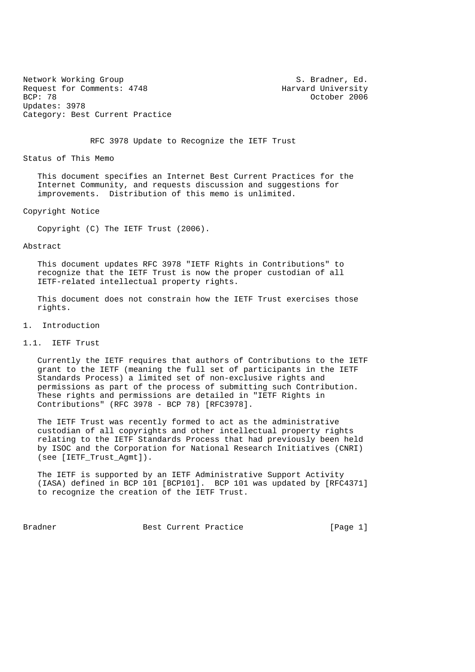Network Working Group S. Bradner, Ed. Request for Comments: 4748 Harvard University<br>BCP: 78 October 2006 Updates: 3978 Category: Best Current Practice

October 2006

RFC 3978 Update to Recognize the IETF Trust

Status of This Memo

 This document specifies an Internet Best Current Practices for the Internet Community, and requests discussion and suggestions for improvements. Distribution of this memo is unlimited.

Copyright Notice

Copyright (C) The IETF Trust (2006).

#### Abstract

 This document updates RFC 3978 "IETF Rights in Contributions" to recognize that the IETF Trust is now the proper custodian of all IETF-related intellectual property rights.

 This document does not constrain how the IETF Trust exercises those rights.

# 1. Introduction

### 1.1. IETF Trust

 Currently the IETF requires that authors of Contributions to the IETF grant to the IETF (meaning the full set of participants in the IETF Standards Process) a limited set of non-exclusive rights and permissions as part of the process of submitting such Contribution. These rights and permissions are detailed in "IETF Rights in Contributions" (RFC 3978 - BCP 78) [RFC3978].

 The IETF Trust was recently formed to act as the administrative custodian of all copyrights and other intellectual property rights relating to the IETF Standards Process that had previously been held by ISOC and the Corporation for National Research Initiatives (CNRI) (see [IETF\_Trust\_Agmt]).

 The IETF is supported by an IETF Administrative Support Activity (IASA) defined in BCP 101 [BCP101]. BCP 101 was updated by [RFC4371] to recognize the creation of the IETF Trust.

Bradner Best Current Practice [Page 1]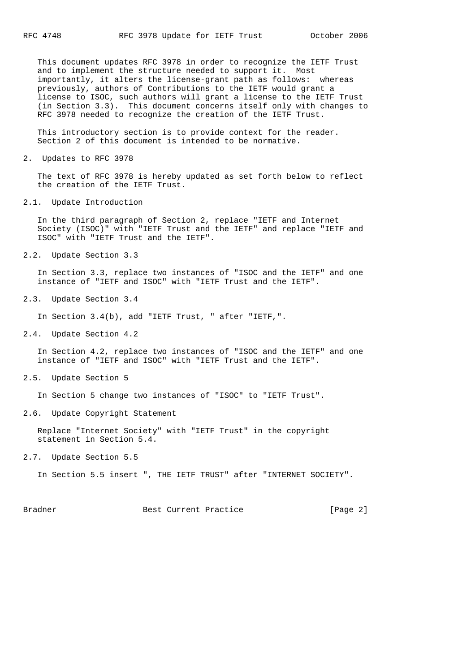This document updates RFC 3978 in order to recognize the IETF Trust and to implement the structure needed to support it. Most importantly, it alters the license-grant path as follows: whereas previously, authors of Contributions to the IETF would grant a license to ISOC, such authors will grant a license to the IETF Trust (in Section 3.3). This document concerns itself only with changes to RFC 3978 needed to recognize the creation of the IETF Trust.

 This introductory section is to provide context for the reader. Section 2 of this document is intended to be normative.

2. Updates to RFC 3978

 The text of RFC 3978 is hereby updated as set forth below to reflect the creation of the IETF Trust.

2.1. Update Introduction

 In the third paragraph of Section 2, replace "IETF and Internet Society (ISOC)" with "IETF Trust and the IETF" and replace "IETF and ISOC" with "IETF Trust and the IETF".

2.2. Update Section 3.3

 In Section 3.3, replace two instances of "ISOC and the IETF" and one instance of "IETF and ISOC" with "IETF Trust and the IETF".

2.3. Update Section 3.4

In Section 3.4(b), add "IETF Trust, " after "IETF,".

2.4. Update Section 4.2

 In Section 4.2, replace two instances of "ISOC and the IETF" and one instance of "IETF and ISOC" with "IETF Trust and the IETF".

2.5. Update Section 5

In Section 5 change two instances of "ISOC" to "IETF Trust".

2.6. Update Copyright Statement

 Replace "Internet Society" with "IETF Trust" in the copyright statement in Section 5.4.

2.7. Update Section 5.5

In Section 5.5 insert ", THE IETF TRUST" after "INTERNET SOCIETY".

Bradner Best Current Practice [Page 2]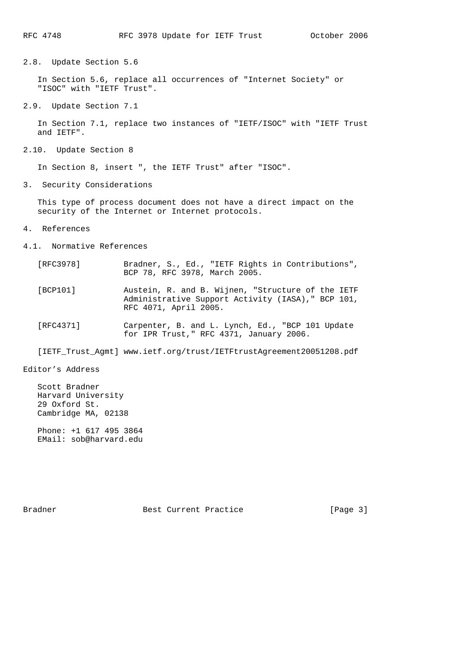2.8. Update Section 5.6

 In Section 5.6, replace all occurrences of "Internet Society" or "ISOC" with "IETF Trust".

2.9. Update Section 7.1

 In Section 7.1, replace two instances of "IETF/ISOC" with "IETF Trust and IETF".

2.10. Update Section 8

In Section 8, insert ", the IETF Trust" after "ISOC".

3. Security Considerations

 This type of process document does not have a direct impact on the security of the Internet or Internet protocols.

- 4. References
- 4.1. Normative References
- [RFC3978] Bradner, S., Ed., "IETF Rights in Contributions", BCP 78, RFC 3978, March 2005.
	- [BCP101] Austein, R. and B. Wijnen, "Structure of the IETF Administrative Support Activity (IASA)," BCP 101, RFC 4071, April 2005.
	- [RFC4371] Carpenter, B. and L. Lynch, Ed., "BCP 101 Update for IPR Trust," RFC 4371, January 2006.

[IETF\_Trust\_Agmt] www.ietf.org/trust/IETFtrustAgreement20051208.pdf

Editor's Address

 Scott Bradner Harvard University 29 Oxford St. Cambridge MA, 02138

 Phone: +1 617 495 3864 EMail: sob@harvard.edu

Bradner Best Current Practice [Page 3]